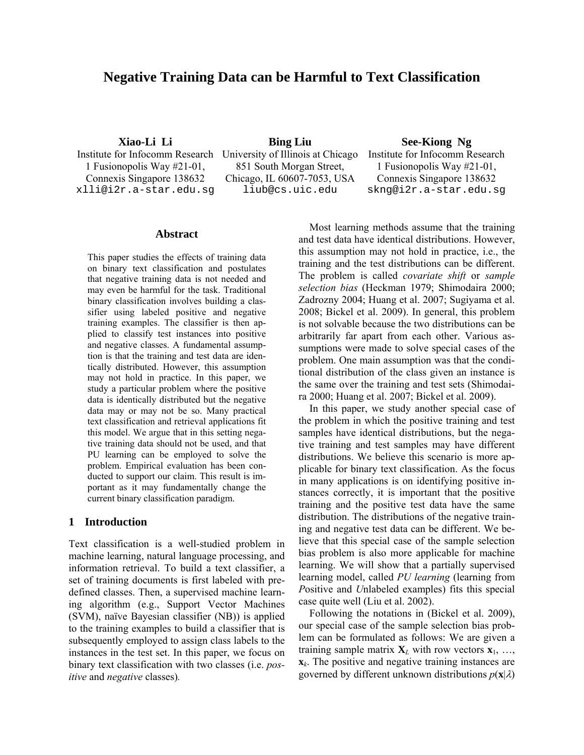# **Negative Training Data can be Harmful to Text Classification**

1 Fusionopolis Way #21-01, Connexis Singapore 138632

Institute for Infocomm Research University of Illinois at Chicago Institute for Infocomm Research 851 South Morgan Street, Chicago, IL 60607-7053, USA

**Xiao-Li Li Bing Liu See-Kiong Ng** 

1 Fusionopolis Way #21-01, Connexis Singapore 138632 xlli@i2r.a-star.edu.sg liub@cs.uic.edu skng@i2r.a-star.edu.sg

#### **Abstract**

This paper studies the effects of training data on binary text classification and postulates that negative training data is not needed and may even be harmful for the task. Traditional binary classification involves building a classifier using labeled positive and negative training examples. The classifier is then applied to classify test instances into positive and negative classes. A fundamental assumption is that the training and test data are identically distributed. However, this assumption may not hold in practice. In this paper, we study a particular problem where the positive data is identically distributed but the negative data may or may not be so. Many practical text classification and retrieval applications fit this model. We argue that in this setting negative training data should not be used, and that PU learning can be employed to solve the problem. Empirical evaluation has been conducted to support our claim. This result is important as it may fundamentally change the current binary classification paradigm.

# **1 Introduction**

Text classification is a well-studied problem in machine learning, natural language processing, and information retrieval. To build a text classifier, a set of training documents is first labeled with predefined classes. Then, a supervised machine learning algorithm (e.g., Support Vector Machines (SVM), naïve Bayesian classifier (NB)) is applied to the training examples to build a classifier that is subsequently employed to assign class labels to the instances in the test set. In this paper, we focus on binary text classification with two classes (i.e. *positive* and *negative* classes)*.* 

Most learning methods assume that the training and test data have identical distributions. However, this assumption may not hold in practice, i.e., the training and the test distributions can be different. The problem is called *covariate shift* or *sample selection bias* (Heckman 1979; Shimodaira 2000; Zadrozny 2004; Huang et al. 2007; Sugiyama et al. 2008; Bickel et al. 2009). In general, this problem is not solvable because the two distributions can be arbitrarily far apart from each other. Various assumptions were made to solve special cases of the problem. One main assumption was that the conditional distribution of the class given an instance is the same over the training and test sets (Shimodaira 2000; Huang et al. 2007; Bickel et al. 2009).

In this paper, we study another special case of the problem in which the positive training and test samples have identical distributions, but the negative training and test samples may have different distributions. We believe this scenario is more applicable for binary text classification. As the focus in many applications is on identifying positive instances correctly, it is important that the positive training and the positive test data have the same distribution. The distributions of the negative training and negative test data can be different. We believe that this special case of the sample selection bias problem is also more applicable for machine learning. We will show that a partially supervised learning model, called *PU learning* (learning from *P*ositive and *U*nlabeled examples) fits this special case quite well (Liu et al. 2002).

Following the notations in (Bickel et al. 2009), our special case of the sample selection bias problem can be formulated as follows: We are given a training sample matrix  $X_L$  with row vectors  $X_1, \ldots,$ **x***k*. The positive and negative training instances are governed by different unknown distributions  $p(\mathbf{x}|\lambda)$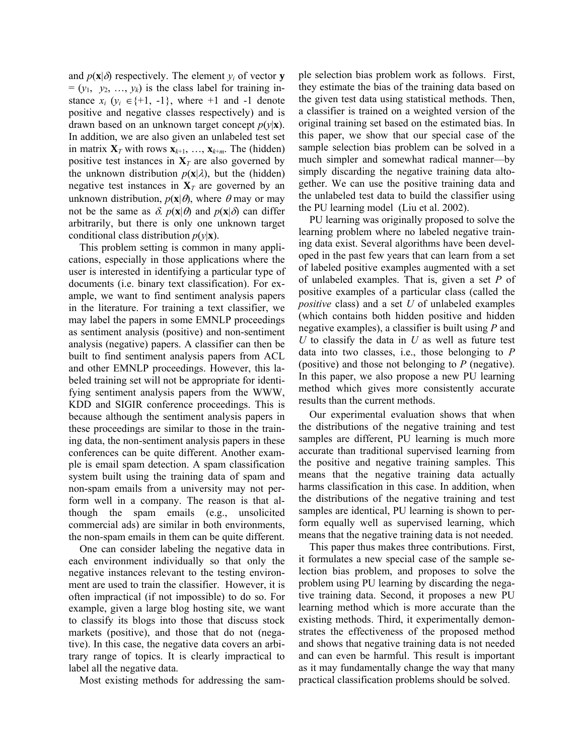and  $p(\mathbf{x}|\delta)$  respectively. The element  $y_i$  of vector **y**  $=(y_1, y_2, ..., y_k)$  is the class label for training instance  $x_i$  ( $y_i \in \{+1, -1\}$ , where  $+1$  and  $-1$  denote positive and negative classes respectively) and is drawn based on an unknown target concept  $p(y|\mathbf{x})$ . In addition, we are also given an unlabeled test set in matrix  $\mathbf{X}_T$  with rows  $\mathbf{x}_{k+1}, \ldots, \mathbf{x}_{k+m}$ . The (hidden) positive test instances in  $X_T$  are also governed by the unknown distribution  $p(\mathbf{x}|\lambda)$ , but the (hidden) negative test instances in  $X_T$  are governed by an unknown distribution,  $p(\mathbf{x}|\theta)$ , where  $\theta$  may or may not be the same as  $\delta$ .  $p(\mathbf{x}|\theta)$  and  $p(\mathbf{x}|\delta)$  can differ arbitrarily, but there is only one unknown target conditional class distribution  $p(y|\mathbf{x})$ .

This problem setting is common in many applications, especially in those applications where the user is interested in identifying a particular type of documents (i.e. binary text classification). For example, we want to find sentiment analysis papers in the literature. For training a text classifier, we may label the papers in some EMNLP proceedings as sentiment analysis (positive) and non-sentiment analysis (negative) papers. A classifier can then be built to find sentiment analysis papers from ACL and other EMNLP proceedings. However, this labeled training set will not be appropriate for identifying sentiment analysis papers from the WWW, KDD and SIGIR conference proceedings. This is because although the sentiment analysis papers in these proceedings are similar to those in the training data, the non-sentiment analysis papers in these conferences can be quite different. Another example is email spam detection. A spam classification system built using the training data of spam and non-spam emails from a university may not perform well in a company. The reason is that although the spam emails (e.g., unsolicited commercial ads) are similar in both environments, the non-spam emails in them can be quite different.

One can consider labeling the negative data in each environment individually so that only the negative instances relevant to the testing environment are used to train the classifier. However, it is often impractical (if not impossible) to do so. For example, given a large blog hosting site, we want to classify its blogs into those that discuss stock markets (positive), and those that do not (negative). In this case, the negative data covers an arbitrary range of topics. It is clearly impractical to label all the negative data.

Most existing methods for addressing the sam-

ple selection bias problem work as follows. First, they estimate the bias of the training data based on the given test data using statistical methods. Then, a classifier is trained on a weighted version of the original training set based on the estimated bias. In this paper, we show that our special case of the sample selection bias problem can be solved in a much simpler and somewhat radical manner—by simply discarding the negative training data altogether. We can use the positive training data and the unlabeled test data to build the classifier using the PU learning model (Liu et al. 2002).

PU learning was originally proposed to solve the learning problem where no labeled negative training data exist. Several algorithms have been developed in the past few years that can learn from a set of labeled positive examples augmented with a set of unlabeled examples. That is, given a set *P* of positive examples of a particular class (called the *positive* class) and a set *U* of unlabeled examples (which contains both hidden positive and hidden negative examples), a classifier is built using *P* and *U* to classify the data in *U* as well as future test data into two classes, i.e., those belonging to *P* (positive) and those not belonging to *P* (negative). In this paper, we also propose a new PU learning method which gives more consistently accurate results than the current methods.

Our experimental evaluation shows that when the distributions of the negative training and test samples are different, PU learning is much more accurate than traditional supervised learning from the positive and negative training samples. This means that the negative training data actually harms classification in this case. In addition, when the distributions of the negative training and test samples are identical, PU learning is shown to perform equally well as supervised learning, which means that the negative training data is not needed.

This paper thus makes three contributions. First, it formulates a new special case of the sample selection bias problem, and proposes to solve the problem using PU learning by discarding the negative training data. Second, it proposes a new PU learning method which is more accurate than the existing methods. Third, it experimentally demonstrates the effectiveness of the proposed method and shows that negative training data is not needed and can even be harmful. This result is important as it may fundamentally change the way that many practical classification problems should be solved.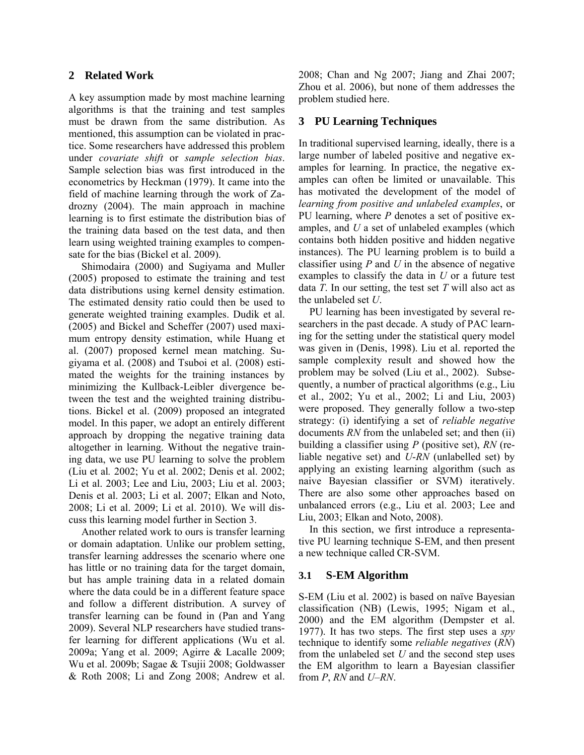# **2 Related Work**

A key assumption made by most machine learning algorithms is that the training and test samples must be drawn from the same distribution. As mentioned, this assumption can be violated in practice. Some researchers have addressed this problem under *covariate shift* or *sample selection bias*. Sample selection bias was first introduced in the econometrics by Heckman (1979). It came into the field of machine learning through the work of Zadrozny (2004). The main approach in machine learning is to first estimate the distribution bias of the training data based on the test data, and then learn using weighted training examples to compensate for the bias (Bickel et al. 2009).

Shimodaira (2000) and Sugiyama and Muller (2005) proposed to estimate the training and test data distributions using kernel density estimation. The estimated density ratio could then be used to generate weighted training examples. Dudik et al. (2005) and Bickel and Scheffer (2007) used maximum entropy density estimation, while Huang et al. (2007) proposed kernel mean matching. Sugiyama et al. (2008) and Tsuboi et al. (2008) estimated the weights for the training instances by minimizing the Kullback-Leibler divergence between the test and the weighted training distributions. Bickel et al. (2009) proposed an integrated model. In this paper, we adopt an entirely different approach by dropping the negative training data altogether in learning. Without the negative training data, we use PU learning to solve the problem (Liu et al*.* 2002; Yu et al. 2002; Denis et al. 2002; Li et al. 2003; Lee and Liu, 2003; Liu et al. 2003; Denis et al. 2003; Li et al. 2007; Elkan and Noto, 2008; Li et al. 2009; Li et al. 2010). We will discuss this learning model further in Section 3.

Another related work to ours is transfer learning or domain adaptation. Unlike our problem setting, transfer learning addresses the scenario where one has little or no training data for the target domain, but has ample training data in a related domain where the data could be in a different feature space and follow a different distribution. A survey of transfer learning can be found in (Pan and Yang 2009). Several NLP researchers have studied transfer learning for different applications (Wu et al. 2009a; Yang et al. 2009; Agirre & Lacalle 2009; Wu et al. 2009b; Sagae & Tsujii 2008; Goldwasser & Roth 2008; Li and Zong 2008; Andrew et al.

2008; Chan and Ng 2007; Jiang and Zhai 2007; Zhou et al. 2006), but none of them addresses the problem studied here.

# **3 PU Learning Techniques**

In traditional supervised learning, ideally, there is a large number of labeled positive and negative examples for learning. In practice, the negative examples can often be limited or unavailable. This has motivated the development of the model of *learning from positive and unlabeled examples*, or PU learning, where *P* denotes a set of positive examples, and *U* a set of unlabeled examples (which contains both hidden positive and hidden negative instances). The PU learning problem is to build a classifier using *P* and *U* in the absence of negative examples to classify the data in *U* or a future test data *T*. In our setting, the test set *T* will also act as the unlabeled set *U*.

PU learning has been investigated by several researchers in the past decade. A study of PAC learning for the setting under the statistical query model was given in (Denis, 1998). Liu et al. reported the sample complexity result and showed how the problem may be solved (Liu et al., 2002). Subsequently, a number of practical algorithms (e.g., Liu et al., 2002; Yu et al., 2002; Li and Liu, 2003) were proposed. They generally follow a two-step strategy: (i) identifying a set of *reliable negative* documents *RN* from the unlabeled set; and then (ii) building a classifier using *P* (positive set), *RN* (reliable negative set) and *U*-*RN* (unlabelled set) by applying an existing learning algorithm (such as naive Bayesian classifier or SVM) iteratively. There are also some other approaches based on unbalanced errors (e.g., Liu et al. 2003; Lee and Liu, 2003; Elkan and Noto, 2008).

In this section, we first introduce a representative PU learning technique S-EM, and then present a new technique called CR-SVM.

# **3.1 S-EM Algorithm**

S-EM (Liu et al. 2002) is based on naïve Bayesian classification (NB) (Lewis, 1995; Nigam et al., 2000) and the EM algorithm (Dempster et al. 1977). It has two steps. The first step uses a *spy* technique to identify some *reliable negatives* (*RN*) from the unlabeled set *U* and the second step uses the EM algorithm to learn a Bayesian classifier from *P*, *RN* and *U*–*RN*.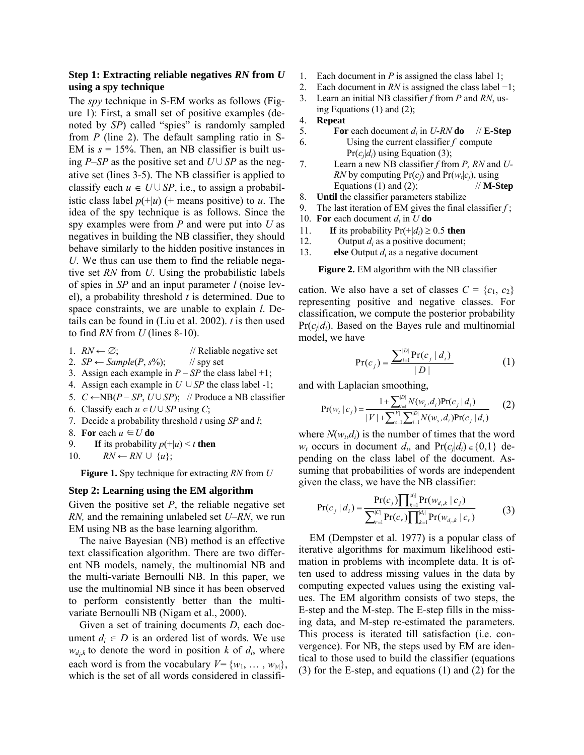# **Step 1: Extracting reliable negatives** *RN* **from** *U* **using a spy technique**

The *spy* technique in S-EM works as follows (Figure 1): First, a small set of positive examples (denoted by *SP*) called "spies" is randomly sampled from *P* (line 2). The default sampling ratio in S-EM is  $s = 15\%$ . Then, an NB classifier is built using *P*–*SP* as the positive set and *U*∪*SP* as the negative set (lines 3-5). The NB classifier is applied to classify each  $u \in U \cup SP$ , i.e., to assign a probabilistic class label  $p(+|u)$  (+ means positive) to *u*. The idea of the spy technique is as follows. Since the spy examples were from *P* and were put into *U* as negatives in building the NB classifier, they should behave similarly to the hidden positive instances in *U*. We thus can use them to find the reliable negative set *RN* from *U*. Using the probabilistic labels of spies in *SP* and an input parameter *l* (noise level), a probability threshold *t* is determined. Due to space constraints, we are unable to explain *l*. Details can be found in (Liu et al. 2002). *t* is then used to find *RN* from *U* (lines 8-10).

1.  $RN \leftarrow \emptyset$ ; // Reliable negative set

- 2.  $SP \leftarrow Sample(P, s\%)$ ; // spy set
- 3. Assign each example in  $P SP$  the class label +1;
- 4. Assign each example in *U* ∪*SP* the class label -1;
- 5.  $C \leftarrow NB(P SP, U \cup SP)$ ; // Produce a NB classifier
- 6. Classify each  $u \in U \cup SP$  using *C*;
- 7. Decide a probability threshold *t* using *SP* and *l*;
- 8. **For** each  $u \in U$  **do**
- 9. **If** its probability  $p(+|u) < t$  then
- 10.  $RN \leftarrow RN \cup \{u\};$

**Figure 1.** Spy technique for extracting *RN* from *U*

#### **Step 2: Learning using the EM algorithm**

Given the positive set *P*, the reliable negative set *RN,* and the remaining unlabeled set *U*–*RN*, we run EM using NB as the base learning algorithm.

The naive Bayesian (NB) method is an effective text classification algorithm. There are two different NB models, namely, the multinomial NB and the multi-variate Bernoulli NB. In this paper, we use the multinomial NB since it has been observed to perform consistently better than the multivariate Bernoulli NB (Nigam et al., 2000).

Given a set of training documents *D*, each document  $d_i \in D$  is an ordered list of words. We use  $w_{d,k}$  to denote the word in position *k* of  $d_i$ , where each word is from the vocabulary  $V = \{w_1, \ldots, w_{|v|}\},\$ which is the set of all words considered in classifi-

- 1. Each document in *P* is assigned the class label 1;
- 2. Each document in *RN* is assigned the class label −1;
- 3. Learn an initial NB classifier *f* from *P* and *RN*, using Equations (1) and (2);
- 4. **Repeat**
- 5. **For** each document  $d_i$  in *U-RN* **do**  $\#$ **E-Step** 6. Using the current classifier *f* compute  $Pr(c_i|d_i)$  using Equation (3);
- 7. Learn a new NB classifier *f* from *P, RN* and *U-RN* by computing  $Pr(c_i)$  and  $Pr(w_i|c_i)$ , using Equations (1) and (2);  $\mathcal{U} = \mathbf{M} \cdot \mathbf{Step}$
- 8. **Until** the classifier parameters stabilize
- 9. The last iteration of EM gives the final classifier *f* ;
- 10. **For** each document  $d_i$  in  $U$  **do**
- 11. **If** its probability  $Pr(+|d_i) \ge 0.5$  then
- 12. Output *di* as a positive document;
- 13. **else** Output *di* as a negative document

**Figure 2.** EM algorithm with the NB classifier

cation. We also have a set of classes  $C = \{c_1, c_2\}$ representing positive and negative classes. For classification, we compute the posterior probability  $Pr(c_i|d_i)$ . Based on the Bayes rule and multinomial model, we have

$$
Pr(c_j) = \frac{\sum_{i=1}^{|D|} Pr(c_j | d_i)}{|D|}
$$
 (1)

and with Laplacian smoothing,

$$
Pr(w_t | c_j) = \frac{1 + \sum_{i=1}^{|D|} N(w_t, d_i) Pr(c_j | d_i)}{|V| + \sum_{s=1}^{|V|} \sum_{i=1}^{|D|} N(w_s, d_i) Pr(c_j | d_i)}
$$
(2)

where  $N(w_t, d_i)$  is the number of times that the word *w<sub>t</sub>* occurs in document *d<sub>i</sub>*, and  $Pr(c_j|d_i) \in \{0,1\}$  depending on the class label of the document. Assuming that probabilities of words are independent given the class, we have the NB classifier:

$$
Pr(c_j | d_i) = \frac{Pr(c_j) \prod_{k=1}^{|d_i|} Pr(w_{d_i,k} | c_j)}{\sum_{r=1}^{|C|} Pr(c_r) \prod_{k=1}^{|d_i|} Pr(w_{d_i,k} | c_r)}
$$
(3)

EM (Dempster et al. 1977) is a popular class of iterative algorithms for maximum likelihood estimation in problems with incomplete data. It is often used to address missing values in the data by computing expected values using the existing values. The EM algorithm consists of two steps, the E*-*step and the M*-*step. The E*-*step fills in the missing data, and M-step re-estimated the parameters. This process is iterated till satisfaction (i.e. convergence). For NB, the steps used by EM are identical to those used to build the classifier (equations (3) for the E*-*step, and equations (1) and (2) for the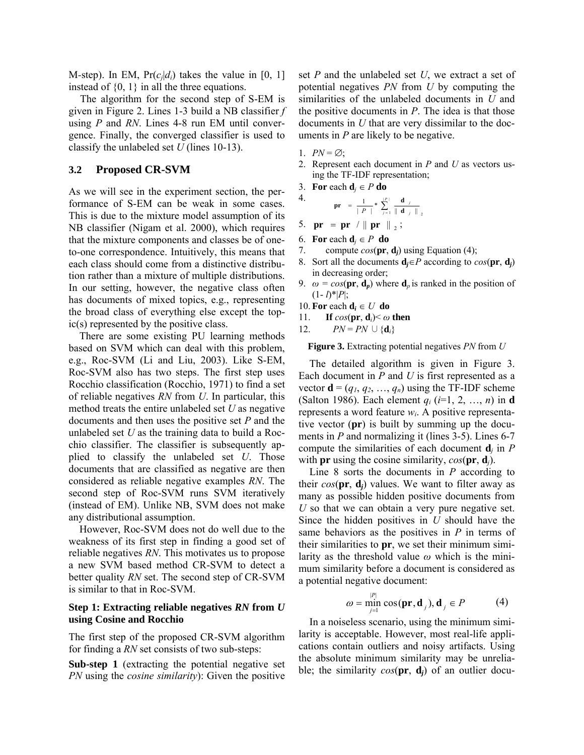M-step). In EM,  $Pr(c_i|d_i)$  takes the value in [0, 1] instead of  $\{0, 1\}$  in all the three equations.

The algorithm for the second step of S-EM is given in Figure 2. Lines 1-3 build a NB classifier *f* using *P* and *RN*. Lines 4-8 run EM until convergence. Finally, the converged classifier is used to classify the unlabeled set *U* (lines 10-13).

#### **3.2 Proposed CR-SVM**

As we will see in the experiment section, the performance of S-EM can be weak in some cases. This is due to the mixture model assumption of its NB classifier (Nigam et al. 2000), which requires that the mixture components and classes be of oneto-one correspondence. Intuitively, this means that each class should come from a distinctive distribution rather than a mixture of multiple distributions. In our setting, however, the negative class often has documents of mixed topics, e.g., representing the broad class of everything else except the topic(s) represented by the positive class.

There are some existing PU learning methods based on SVM which can deal with this problem, e.g., Roc-SVM (Li and Liu, 2003). Like S-EM, Roc-SVM also has two steps. The first step uses Rocchio classification (Rocchio, 1971) to find a set of reliable negatives *RN* from *U*. In particular, this method treats the entire unlabeled set *U* as negative documents and then uses the positive set *P* and the unlabeled set *U* as the training data to build a Rocchio classifier. The classifier is subsequently applied to classify the unlabeled set *U*. Those documents that are classified as negative are then considered as reliable negative examples *RN*. The second step of Roc-SVM runs SVM iteratively (instead of EM). Unlike NB, SVM does not make any distributional assumption.

However, Roc-SVM does not do well due to the weakness of its first step in finding a good set of reliable negatives *RN*. This motivates us to propose a new SVM based method CR-SVM to detect a better quality *RN* set. The second step of CR-SVM is similar to that in Roc-SVM.

# **Step 1: Extracting reliable negatives** *RN* **from** *U* **using Cosine and Rocchio**

The first step of the proposed CR-SVM algorithm for finding a *RN* set consists of two sub-steps:

**Sub-step 1** (extracting the potential negative set *PN* using the *cosine similarity*): Given the positive set *P* and the unlabeled set *U*, we extract a set of potential negatives *PN* from *U* by computing the similarities of the unlabeled documents in *U* and the positive documents in *P*. The idea is that those documents in *U* that are very dissimilar to the documents in *P* are likely to be negative.

1.  $PN = \emptyset$ ;

4.

- 2. Represent each document in *P* and *U* as vectors using the TF-IDF representation;
- 3. **For** each  $\mathbf{d}_i \in P$  **do**

$$
\mathbf{pr} = \frac{1}{\mid P \mid} * \sum_{j=1}^{\mid P \mid} \frac{\mathbf{d}}{\parallel \mathbf{d}_{j} \parallel},
$$

- 5. **pr** = **pr** /  $\|$  **pr**  $\|_2$ ;
- 6. **For** each  $\mathbf{d}_i \in P$  **do**
- 7. compute  $cos(\mathbf{pr}, \mathbf{d}_i)$  using Equation (4);
- 8. Sort all the documents  $\mathbf{d}_i \in P$  according to  $cos(\mathbf{pr}, \mathbf{d}_i)$ in decreasing order;
- 9.  $\omega = \cos(\mathbf{pr}, \mathbf{d}_p)$  where  $\mathbf{d}_p$  is ranked in the position of  $(1 - l)^*|P|$ ;
- 10. **For** each  $\mathbf{d}_i \in U$  **do**
- 11. **If**  $cos(\mathbf{pr}, \mathbf{d}_i) \leq \omega$  then
- 12. *PN* = *PN*  $\cup$  {**d**<sub>*i*</sub>}

**Figure 3.** Extracting potential negatives *PN* from *U*

The detailed algorithm is given in Figure 3. Each document in *P* and *U* is first represented as a vector  $\mathbf{d} = (q_1, q_2, ..., q_n)$  using the TF-IDF scheme (Salton 1986). Each element *qi* (*i*=1, 2, …, *n*) in **d** represents a word feature *wi*. A positive representative vector (**pr**) is built by summing up the documents in *P* and normalizing it (lines 3-5). Lines 6-7 compute the similarities of each document **d***j* in *P*  with **pr** using the cosine similarity, *cos*(**pr**, **d***j*).

Line 8 sorts the documents in *P* according to their  $cos(\mathbf{pr}, \mathbf{d}_i)$  values. We want to filter away as many as possible hidden positive documents from *U* so that we can obtain a very pure negative set. Since the hidden positives in *U* should have the same behaviors as the positives in *P* in terms of their similarities to **pr**, we set their minimum similarity as the threshold value *ω* which is the minimum similarity before a document is considered as a potential negative document:

$$
\omega = \min_{j=1}^{|P|} \cos(\mathbf{pr}, \mathbf{d}_j), \mathbf{d}_j \in P \tag{4}
$$

In a noiseless scenario, using the minimum similarity is acceptable. However, most real-life applications contain outliers and noisy artifacts. Using the absolute minimum similarity may be unreliable; the similarity  $cos(\mathbf{pr}, \mathbf{d}_i)$  of an outlier docu-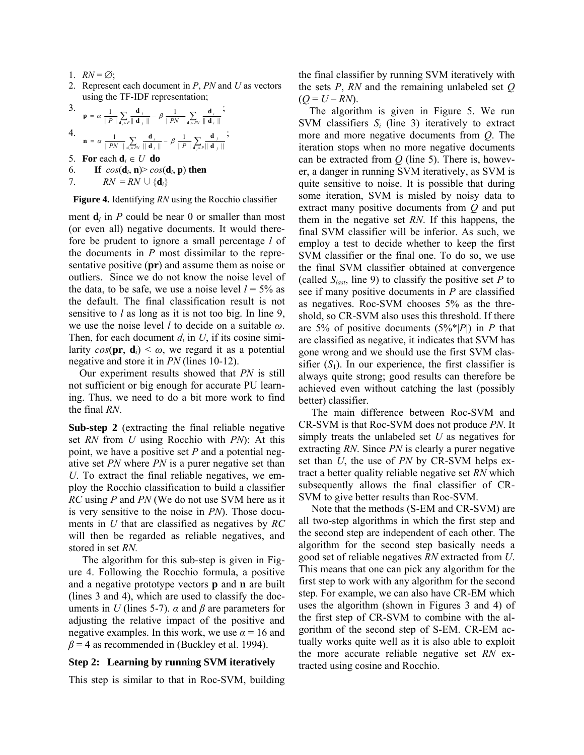- 1.  $RN = \emptyset$ ;
- 2. Represent each document in *P*, *PN* and *U* as vectors using the TF-IDF representation;

3. 
$$
\mathbf{p} = \alpha \frac{1}{|P|} \sum_{\mathbf{d}_j \in P} \frac{\mathbf{d}_j}{\|\mathbf{d}_j\|} - \beta \frac{1}{|PN|} \sum_{\mathbf{d}_i \in PN} \frac{\mathbf{d}_i}{\|\mathbf{d}_i\|} ;
$$
  
4. 
$$
\mathbf{n} = \alpha \frac{1}{|PN|} \sum_{\mathbf{d}_i \in PN} \frac{\mathbf{d}_i}{\|\mathbf{d}_i\|} - \beta \frac{1}{|P|} \sum_{\mathbf{d}_j \in P} \frac{\mathbf{d}_j}{\|\mathbf{d}_j\|} ;
$$
  
5. **For each d**<sub>i</sub>  $\in U$  **do**  
6. **If**  $cos(\mathbf{d}_i, \mathbf{n}) > cos(\mathbf{d}_i, \mathbf{p})$  **then**  
7. 
$$
RN = RN \cup {\mathbf{d}_i}
$$

**Figure 4.** Identifying *RN* using the Rocchio classifier

ment  $\mathbf{d}_i$  in *P* could be near 0 or smaller than most (or even all) negative documents. It would therefore be prudent to ignore a small percentage *l* of the documents in *P* most dissimilar to the representative positive (**pr**) and assume them as noise or outliers. Since we do not know the noise level of the data, to be safe, we use a noise level  $l = 5\%$  as the default. The final classification result is not sensitive to *l* as long as it is not too big. In line 9, we use the noise level *l* to decide on a suitable *ω*. Then, for each document  $d_i$  in  $U$ , if its cosine similarity  $cos(\mathbf{pr}, \mathbf{d}_i) \leq \omega$ , we regard it as a potential negative and store it in *PN* (lines 10-12).

Our experiment results showed that *PN* is still not sufficient or big enough for accurate PU learning. Thus, we need to do a bit more work to find the final *RN*.

**Sub-step 2** (extracting the final reliable negative set *RN* from *U* using Rocchio with *PN*): At this point, we have a positive set *P* and a potential negative set *PN* where *PN* is a purer negative set than *U*. To extract the final reliable negatives, we employ the Rocchio classification to build a classifier *RC* using *P* and *PN* (We do not use SVM here as it is very sensitive to the noise in *PN*). Those documents in *U* that are classified as negatives by *RC* will then be regarded as reliable negatives, and stored in set *RN.* 

The algorithm for this sub-step is given in Figure 4. Following the Rocchio formula, a positive and a negative prototype vectors **p** and **n** are built (lines 3 and 4), which are used to classify the documents in *U* (lines 5-7).  $\alpha$  and  $\beta$  are parameters for adjusting the relative impact of the positive and negative examples. In this work, we use  $\alpha = 16$  and  $\beta$  = 4 as recommended in (Buckley et al. 1994).

#### **Step 2: Learning by running SVM iteratively**

This step is similar to that in Roc-SVM, building

the final classifier by running SVM iteratively with the sets *P*, *RN* and the remaining unlabeled set *Q*  $(Q = U - RN)$ .

The algorithm is given in Figure 5. We run SVM classifiers *Si* (line 3) iteratively to extract more and more negative documents from *Q*. The iteration stops when no more negative documents can be extracted from *Q* (line 5). There is, however, a danger in running SVM iteratively, as SVM is quite sensitive to noise. It is possible that during some iteration, SVM is misled by noisy data to extract many positive documents from *Q* and put them in the negative set *RN*. If this happens, the final SVM classifier will be inferior. As such, we employ a test to decide whether to keep the first SVM classifier or the final one. To do so, we use the final SVM classifier obtained at convergence (called  $S<sub>last</sub>$ , line 9) to classify the positive set *P* to see if many positive documents in *P* are classified as negatives. Roc-SVM chooses 5% as the threshold, so CR-SVM also uses this threshold. If there are 5% of positive documents (5%\*|*P*|) in *P* that are classified as negative, it indicates that SVM has gone wrong and we should use the first SVM classifier  $(S_1)$ . In our experience, the first classifier is always quite strong; good results can therefore be achieved even without catching the last (possibly better) classifier.

The main difference between Roc-SVM and CR-SVM is that Roc-SVM does not produce *PN*. It simply treats the unlabeled set *U* as negatives for extracting *RN*. Since *PN* is clearly a purer negative set than *U*, the use of *PN* by CR-SVM helps extract a better quality reliable negative set *RN* which subsequently allows the final classifier of CR-SVM to give better results than Roc-SVM.

Note that the methods (S-EM and CR-SVM) are all two-step algorithms in which the first step and the second step are independent of each other. The algorithm for the second step basically needs a good set of reliable negatives *RN* extracted from *U*. This means that one can pick any algorithm for the first step to work with any algorithm for the second step. For example, we can also have CR-EM which uses the algorithm (shown in Figures 3 and 4) of the first step of CR-SVM to combine with the algorithm of the second step of S-EM. CR-EM actually works quite well as it is also able to exploit the more accurate reliable negative set *RN* extracted using cosine and Rocchio.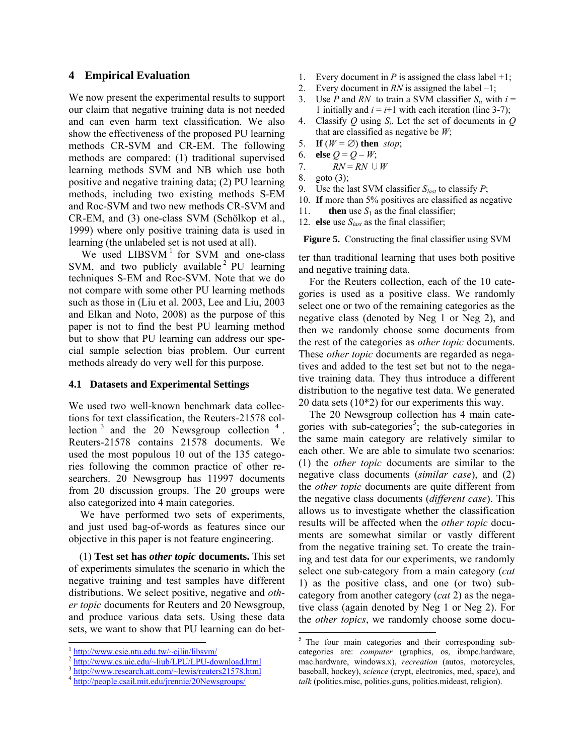#### **4 Empirical Evaluation**

We now present the experimental results to support our claim that negative training data is not needed and can even harm text classification. We also show the effectiveness of the proposed PU learning methods CR-SVM and CR-EM. The following methods are compared: (1) traditional supervised learning methods SVM and NB which use both positive and negative training data; (2) PU learning methods, including two existing methods S-EM and Roc-SVM and two new methods CR-SVM and CR-EM, and (3) one-class SVM (Schölkop et al., 1999) where only positive training data is used in learning (the unlabeled set is not used at all).

We used  $LIBSVM$ <sup>1</sup> for SVM and one-class SVM, and two publicly available  $2$  PU learning techniques S-EM and Roc-SVM. Note that we do not compare with some other PU learning methods such as those in (Liu et al. 2003, Lee and Liu, 2003 and Elkan and Noto, 2008) as the purpose of this paper is not to find the best PU learning method but to show that PU learning can address our special sample selection bias problem. Our current methods already do very well for this purpose.

#### **4.1 Datasets and Experimental Settings**

We used two well-known benchmark data collections for text classification, the Reuters-21578 collection  $3$  and the 20 Newsgroup collection  $4$ . Reuters-21578 contains 21578 documents. We used the most populous 10 out of the 135 categories following the common practice of other researchers. 20 Newsgroup has 11997 documents from 20 discussion groups. The 20 groups were also categorized into 4 main categories.

We have performed two sets of experiments, and just used bag-of-words as features since our objective in this paper is not feature engineering.

(1) **Test set has** *other topic* **documents.** This set of experiments simulates the scenario in which the negative training and test samples have different distributions. We select positive, negative and *other topic* documents for Reuters and 20 Newsgroup, and produce various data sets. Using these data sets, we want to show that PU learning can do bet-

 $\overline{\phantom{a}}$ 

- 1. Every document in *P* is assigned the class label  $+1$ ;
- 2. Every document in *RN* is assigned the label –1;
- 3. Use *P* and *RN* to train a SVM classifier  $S_i$ , with  $i =$ 1 initially and  $i = i+1$  with each iteration (line 3-7);
- 4. Classify *Q* using *Si*. Let the set of documents in *Q* that are classified as negative be *W*;
- 5. **If**  $(W = \emptyset)$  **then** *stop*;
- 6. **else**  $Q = Q W$ ;
- 7.  $RN = RN \cup W$
- 8. goto (3);
- 9. Use the last SVM classifier  $S_{last}$  to classify  $P$ ;
- 10. **If** more than 5% positives are classified as negative
- 11. **then** use  $S_1$  as the final classifier;
- 12. **else** use *Slast* as the final classifier;

**Figure 5.** Constructing the final classifier using SVM

ter than traditional learning that uses both positive and negative training data.

For the Reuters collection, each of the 10 categories is used as a positive class. We randomly select one or two of the remaining categories as the negative class (denoted by Neg 1 or Neg 2), and then we randomly choose some documents from the rest of the categories as *other topic* documents. These *other topic* documents are regarded as negatives and added to the test set but not to the negative training data. They thus introduce a different distribution to the negative test data. We generated 20 data sets (10\*2) for our experiments this way.

The 20 Newsgroup collection has 4 main categories with sub-categories<sup>5</sup>; the sub-categories in the same main category are relatively similar to each other. We are able to simulate two scenarios: (1) the *other topic* documents are similar to the negative class documents (*similar case*), and (2) the *other topic* documents are quite different from the negative class documents (*different case*). This allows us to investigate whether the classification results will be affected when the *other topic* documents are somewhat similar or vastly different from the negative training set. To create the training and test data for our experiments, we randomly select one sub-category from a main category (*cat* 1) as the positive class, and one (or two) subcategory from another category (*cat* 2) as the negative class (again denoted by Neg 1 or Neg 2). For the *other topics*, we randomly choose some docu-

 $\overline{\phantom{a}}$ 

 $\frac{1 \text{ http://www.csie.ntu.edu,tw/~cjlin/libswm/}}{\text{http://www.csuic.edu/~liub/LPU/LPU-download.html}}$ <br>  $\frac{1 \text{http://www.csuic.edu/~liub/LPU/LPU-download.html}}{\text{http://www.research.att.com/~lewis/reuters21578.html}}$ 

<sup>&</sup>lt;sup>5</sup> The four main categories and their corresponding subcategories are: *computer* (graphics, os, ibmpc.hardware, mac.hardware, windows.x), *recreation* (autos, motorcycles, baseball, hockey), *science* (crypt, electronics, med, space), and *talk* (politics.misc, politics.guns, politics.mideast, religion).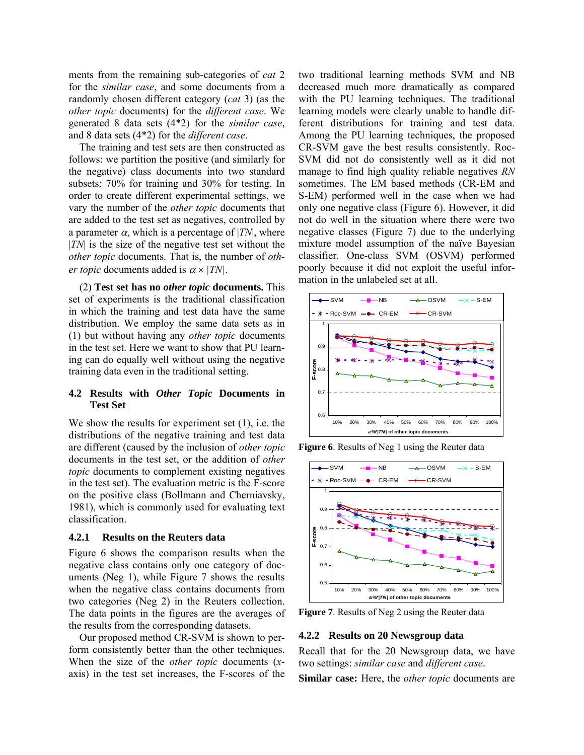ments from the remaining sub-categories of *cat* 2 for the *similar case*, and some documents from a randomly chosen different category (*cat* 3) (as the *other topic* documents) for the *different case*. We generated 8 data sets (4\*2) for the *similar case*, and 8 data sets (4\*2) for the *different case*.

The training and test sets are then constructed as follows: we partition the positive (and similarly for the negative) class documents into two standard subsets: 70% for training and 30% for testing. In order to create different experimental settings, we vary the number of the *other topic* documents that are added to the test set as negatives, controlled by a parameter  $\alpha$ , which is a percentage of |*TN*|, where |*TN*| is the size of the negative test set without the *other topic* documents. That is, the number of *other topic* documents added is  $\alpha \times |TN|$ .

(2) **Test set has no** *other topic* **documents.** This set of experiments is the traditional classification in which the training and test data have the same distribution. We employ the same data sets as in (1) but without having any *other topic* documents in the test set. Here we want to show that PU learning can do equally well without using the negative training data even in the traditional setting.

# **4.2 Results with** *Other Topic* **Documents in Test Set**

We show the results for experiment set (1), i.e. the distributions of the negative training and test data are different (caused by the inclusion of *other topic* documents in the test set, or the addition of *other topic* documents to complement existing negatives in the test set). The evaluation metric is the F-score on the positive class (Bollmann and Cherniavsky, 1981), which is commonly used for evaluating text classification.

#### **4.2.1 Results on the Reuters data**

Figure 6 shows the comparison results when the negative class contains only one category of documents (Neg 1), while Figure 7 shows the results when the negative class contains documents from two categories (Neg 2) in the Reuters collection. The data points in the figures are the averages of the results from the corresponding datasets.

Our proposed method CR-SVM is shown to perform consistently better than the other techniques. When the size of the *other topic* documents (*x*axis) in the test set increases, the F-scores of the two traditional learning methods SVM and NB decreased much more dramatically as compared with the PU learning techniques. The traditional learning models were clearly unable to handle different distributions for training and test data. Among the PU learning techniques, the proposed CR-SVM gave the best results consistently. Roc-SVM did not do consistently well as it did not manage to find high quality reliable negatives *RN*  sometimes. The EM based methods (CR-EM and S-EM) performed well in the case when we had only one negative class (Figure 6). However, it did not do well in the situation where there were two negative classes (Figure 7) due to the underlying mixture model assumption of the naïve Bayesian classifier. One-class SVM (OSVM) performed poorly because it did not exploit the useful information in the unlabeled set at all.



**Figure 6.** Results of Neg 1 using the Reuter data



**Figure 7**. Results of Neg 2 using the Reuter data

#### **4.2.2 Results on 20 Newsgroup data**

Recall that for the 20 Newsgroup data, we have two settings: *similar case* and *different case*.

**Similar case:** Here, the *other topic* documents are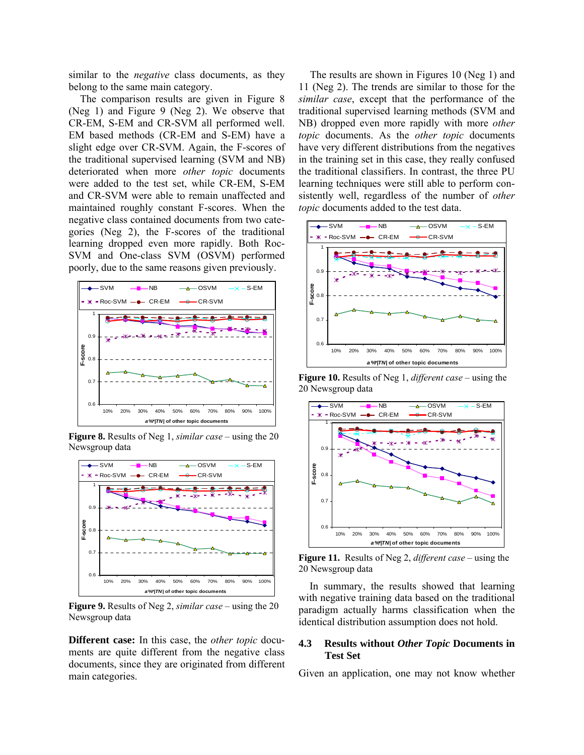similar to the *negative* class documents, as they belong to the same main category.

The comparison results are given in Figure 8 (Neg 1) and Figure 9 (Neg 2). We observe that CR-EM, S-EM and CR-SVM all performed well. EM based methods (CR-EM and S-EM) have a slight edge over CR-SVM. Again, the F-scores of the traditional supervised learning (SVM and NB) deteriorated when more *other topic* documents were added to the test set, while CR-EM, S-EM and CR-SVM were able to remain unaffected and maintained roughly constant F-scores. When the negative class contained documents from two categories (Neg 2), the F-scores of the traditional learning dropped even more rapidly. Both Roc-SVM and One-class SVM (OSVM) performed poorly, due to the same reasons given previously.



**Figure 8.** Results of Neg 1, *similar case* – using the 20 Newsgroup data



**Figure 9.** Results of Neg 2, *similar case* – using the 20 Newsgroup data

**Different case:** In this case, the *other topic* documents are quite different from the negative class documents, since they are originated from different main categories.

The results are shown in Figures 10 (Neg 1) and 11 (Neg 2). The trends are similar to those for the *similar case*, except that the performance of the traditional supervised learning methods (SVM and NB) dropped even more rapidly with more *other topic* documents. As the *other topic* documents have very different distributions from the negatives in the training set in this case, they really confused the traditional classifiers. In contrast, the three PU learning techniques were still able to perform consistently well, regardless of the number of *other topic* documents added to the test data.



**Figure 10.** Results of Neg 1, *different case* – using the 20 Newsgroup data



**Figure 11.** Results of Neg 2, *different case* – using the 20 Newsgroup data

In summary, the results showed that learning with negative training data based on the traditional paradigm actually harms classification when the identical distribution assumption does not hold.

# **4.3 Results without** *Other Topic* **Documents in Test Set**

Given an application, one may not know whether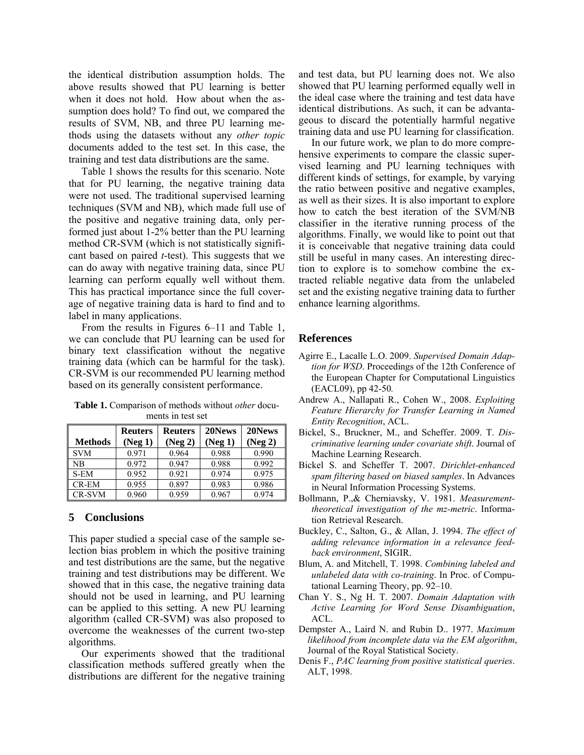the identical distribution assumption holds. The above results showed that PU learning is better when it does not hold. How about when the assumption does hold? To find out, we compared the results of SVM, NB, and three PU learning methods using the datasets without any *other topic* documents added to the test set. In this case, the training and test data distributions are the same.

Table 1 shows the results for this scenario. Note that for PU learning, the negative training data were not used. The traditional supervised learning techniques (SVM and NB), which made full use of the positive and negative training data, only performed just about 1-2% better than the PU learning method CR-SVM (which is not statistically significant based on paired *t*-test). This suggests that we can do away with negative training data, since PU learning can perform equally well without them. This has practical importance since the full coverage of negative training data is hard to find and to label in many applications.

From the results in Figures 6–11 and Table 1, we can conclude that PU learning can be used for binary text classification without the negative training data (which can be harmful for the task). CR-SVM is our recommended PU learning method based on its generally consistent performance.

**Table 1.** Comparison of methods without *other* documents in test set

|                | <b>Reuters</b> | <b>Reuters</b> | 20News  | 20News  |
|----------------|----------------|----------------|---------|---------|
| <b>Methods</b> | (Neg 1)        | (Neg 2)        | (Neg 1) | (Neg 2) |
| <b>SVM</b>     | 0.971          | 0.964          | 0.988   | 0.990   |
| <b>NB</b>      | 0.972          | 0.947          | 0.988   | 0.992   |
| S-EM           | 0.952          | 0.921          | 0.974   | 0.975   |
| CR-EM          | 0.955          | 0.897          | 0.983   | 0.986   |
| <b>CR-SVM</b>  | 0.960          | 0.959          | 0.967   | 0.974   |

# **5 Conclusions**

This paper studied a special case of the sample selection bias problem in which the positive training and test distributions are the same, but the negative training and test distributions may be different. We showed that in this case, the negative training data should not be used in learning, and PU learning can be applied to this setting. A new PU learning algorithm (called CR-SVM) was also proposed to overcome the weaknesses of the current two-step algorithms.

 Our experiments showed that the traditional classification methods suffered greatly when the distributions are different for the negative training and test data, but PU learning does not. We also showed that PU learning performed equally well in the ideal case where the training and test data have identical distributions. As such, it can be advantageous to discard the potentially harmful negative training data and use PU learning for classification.

 In our future work, we plan to do more comprehensive experiments to compare the classic supervised learning and PU learning techniques with different kinds of settings, for example, by varying the ratio between positive and negative examples, as well as their sizes. It is also important to explore how to catch the best iteration of the SVM/NB classifier in the iterative running process of the algorithms. Finally, we would like to point out that it is conceivable that negative training data could still be useful in many cases. An interesting direction to explore is to somehow combine the extracted reliable negative data from the unlabeled set and the existing negative training data to further enhance learning algorithms.

# **References**

- Agirre E., Lacalle L.O. 2009. *Supervised Domain Adaption for WSD*. Proceedings of the 12th Conference of the European Chapter for Computational Linguistics (EACL09), pp 42-50*.*
- Andrew A., Nallapati R., Cohen W., 2008. *Exploiting Feature Hierarchy for Transfer Learning in Named Entity Recognition*, ACL.
- Bickel, S., Bruckner, M., and Scheffer. 2009. T. *Discriminative learning under covariate shift*. Journal of Machine Learning Research.
- Bickel S. and Scheffer T. 2007. *Dirichlet-enhanced spam filtering based on biased samples*. In Advances in Neural Information Processing Systems.
- Bollmann, P.,& Cherniavsky, V. 1981. *Measurementtheoretical investigation of the mz-metric*. Information Retrieval Research.
- Buckley, C., Salton, G., & Allan, J. 1994. *The effect of adding relevance information in a relevance feedback environment*, SIGIR.
- Blum, A. and Mitchell, T. 1998. *Combining labeled and unlabeled data with co-training*. In Proc. of Computational Learning Theory, pp. 92–10.
- Chan Y. S., Ng H. T. 2007. *Domain Adaptation with Active Learning for Word Sense Disambiguation*, ACL.
- Dempster A., Laird N. and Rubin D.. 1977. *Maximum likelihood from incomplete data via the EM algorithm*, Journal of the Royal Statistical Society.
- Denis F., *PAC learning from positive statistical queries*. ALT, 1998.